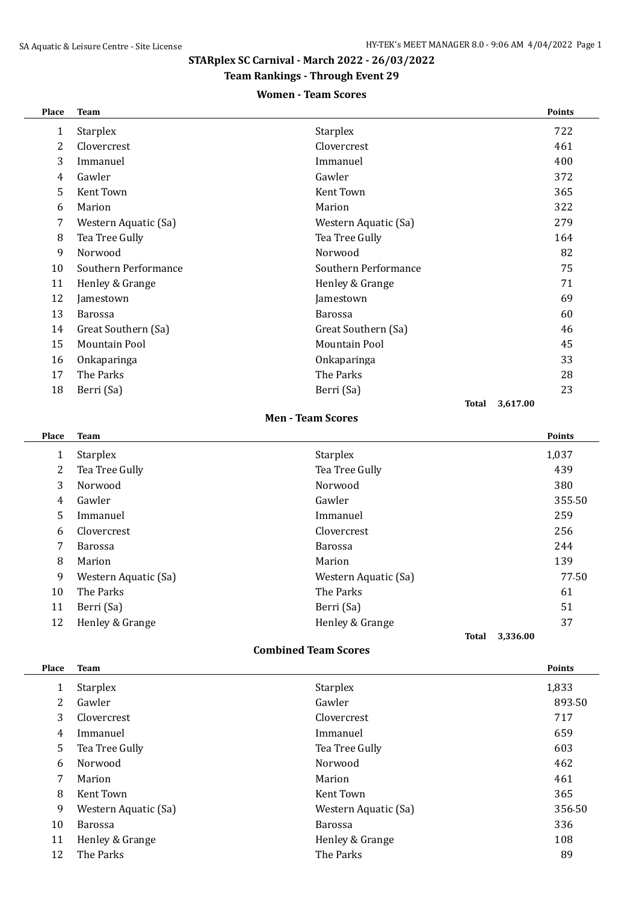# **STARplex SC Carnival - March 2022 - 26/03/2022**

## **Team Rankings - Through Event 29**

### **Women - Team Scores**

| Place | <b>Team</b>          |                      | <b>Points</b>     |
|-------|----------------------|----------------------|-------------------|
| 1     | <b>Starplex</b>      | <b>Starplex</b>      | 722               |
| 2     | Clovercrest          | Clovercrest          | 461               |
| 3     | Immanuel             | Immanuel             | 400               |
| 4     | Gawler               | Gawler               | 372               |
| 5     | Kent Town            | Kent Town            | 365               |
| 6     | Marion               | Marion               | 322               |
| 7     | Western Aquatic (Sa) | Western Aquatic (Sa) | 279               |
| 8     | Tea Tree Gully       | Tea Tree Gully       | 164               |
| 9     | Norwood              | Norwood              | 82                |
| 10    | Southern Performance | Southern Performance | 75                |
| 11    | Henley & Grange      | Henley & Grange      | 71                |
| 12    | Jamestown            | Jamestown            | 69                |
| 13    | <b>Barossa</b>       | <b>Barossa</b>       | 60                |
| 14    | Great Southern (Sa)  | Great Southern (Sa)  | 46                |
| 15    | <b>Mountain Pool</b> | Mountain Pool        | 45                |
| 16    | Onkaparinga          | Onkaparinga          | 33                |
| 17    | The Parks            | The Parks            | 28                |
| 18    | Berri (Sa)           | Berri (Sa)           | 23                |
|       |                      |                      | 3,617.00<br>Total |

#### **Men - Team Scores**

| Place | <b>Team</b>          |                      | <b>Points</b>     |
|-------|----------------------|----------------------|-------------------|
| 1     | <b>Starplex</b>      | <b>Starplex</b>      | 1,037             |
| 2     | Tea Tree Gully       | Tea Tree Gully       | 439               |
| 3     | Norwood              | Norwood              | 380               |
| 4     | Gawler               | Gawler               | 355.50            |
| 5     | Immanuel             | Immanuel             | 259               |
| 6     | Clovercrest          | Clovercrest          | 256               |
| 7     | <b>Barossa</b>       | <b>Barossa</b>       | 244               |
| 8     | Marion               | Marion               | 139               |
| 9     | Western Aquatic (Sa) | Western Aquatic (Sa) | 77.50             |
| 10    | The Parks            | The Parks            | 61                |
| 11    | Berri (Sa)           | Berri (Sa)           | 51                |
| 12    | Henley & Grange      | Henley & Grange      | 37                |
|       |                      |                      | 3,336.00<br>Total |

#### **Combined Team Scores**

| Place | <b>Team</b>          |                      | <b>Points</b> |
|-------|----------------------|----------------------|---------------|
| 1     | <b>Starplex</b>      | <b>Starplex</b>      | 1,833         |
| 2     | Gawler               | Gawler               | 893.50        |
| 3     | <b>Clovercrest</b>   | Clovercrest          | 717           |
| 4     | Immanuel             | Immanuel             | 659           |
| 5     | Tea Tree Gully       | Tea Tree Gully       | 603           |
| 6     | Norwood              | Norwood              | 462           |
| 7     | Marion               | Marion               | 461           |
| 8     | Kent Town            | Kent Town            | 365           |
| 9     | Western Aquatic (Sa) | Western Aquatic (Sa) | 356.50        |
| 10    | <b>Barossa</b>       | <b>Barossa</b>       | 336           |
| 11    | Henley & Grange      | Henley & Grange      | 108           |
| 12    | The Parks            | The Parks            | 89            |